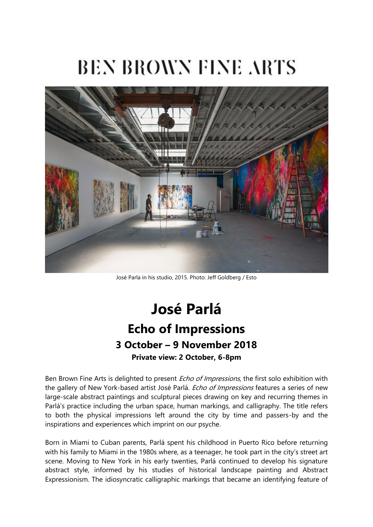# **BEN BROWN FINE ARTS**



José Parla in his studio, 2015. Photo: Jeff Goldberg / Esto

## **José Parlá Echo of Impressions 3 October – 9 November 2018 Private view: 2 October, 6-8pm**

Ben Brown Fine Arts is delighted to present *Echo of Impressions*, the first solo exhibition with the gallery of New York-based artist José Parlá. *Echo of Impressions* features a series of new large-scale abstract paintings and sculptural pieces drawing on key and recurring themes in Parlá's practice including the urban space, human markings, and calligraphy. The title refers to both the physical impressions left around the city by time and passers-by and the inspirations and experiences which imprint on our psyche.

Born in Miami to Cuban parents, Parlá spent his childhood in Puerto Rico before returning with his family to Miami in the 1980s where, as a teenager, he took part in the city's street art scene. Moving to New York in his early twenties, Parlá continued to develop his signature abstract style, informed by his studies of historical landscape painting and Abstract Expressionism. The idiosyncratic calligraphic markings that became an identifying feature of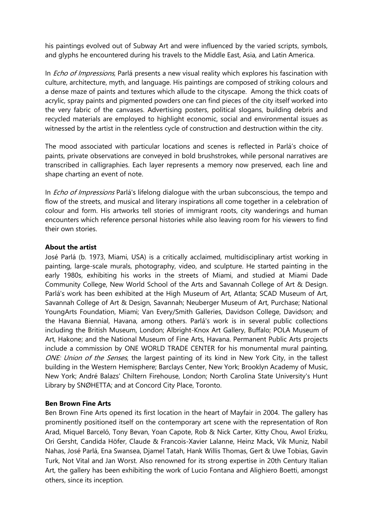his paintings evolved out of Subway Art and were influenced by the varied scripts, symbols, and glyphs he encountered during his travels to the Middle East, Asia, and Latin America.

In *Echo of Impressions*, Parlá presents a new visual reality which explores his fascination with culture, architecture, myth, and language. His paintings are composed of striking colours and a dense maze of paints and textures which allude to the cityscape. Among the thick coats of acrylic, spray paints and pigmented powders one can find pieces of the city itself worked into the very fabric of the canvases. Advertising posters, political slogans, building debris and recycled materials are employed to highlight economic, social and environmental issues as witnessed by the artist in the relentless cycle of construction and destruction within the city.

The mood associated with particular locations and scenes is reflected in Parlá's choice of paints, private observations are conveyed in bold brushstrokes, while personal narratives are transcribed in calligraphies. Each layer represents a memory now preserved, each line and shape charting an event of note.

In *Echo of Impressions* Parlá's lifelong dialogue with the urban subconscious, the tempo and flow of the streets, and musical and literary inspirations all come together in a celebration of colour and form. His artworks tell stories of immigrant roots, city wanderings and human encounters which reference personal histories while also leaving room for his viewers to find their own stories.

#### **About the artist**

José Parlá (b. 1973, Miami, USA) is a critically acclaimed, multidisciplinary artist working in painting, large-scale murals, photography, video, and sculpture. He started painting in the early 1980s, exhibiting his works in the streets of Miami, and studied at Miami Dade Community College, New World School of the Arts and Savannah College of Art & Design. Parlá's work has been exhibited at the High Museum of Art, Atlanta; SCAD Museum of Art, Savannah College of Art & Design, Savannah; Neuberger Museum of Art, Purchase; National YoungArts Foundation, Miami; Van Every/Smith Galleries, Davidson College, Davidson; and the Havana Biennial, Havana, among others. Parlá's work is in several public collections including the British Museum, London; Albright-Knox Art Gallery, Buffalo; POLA Museum of Art, Hakone; and the National Museum of Fine Arts, Havana. Permanent Public Arts projects include a commission by ONE WORLD TRADE CENTER for his monumental mural painting, ONE: Union of the Senses, the largest painting of its kind in New York City, in the tallest building in the Western Hemisphere; Barclays Center, New York; Brooklyn Academy of Music, New York; André Balazs' Chiltern Firehouse, London; North Carolina State University's Hunt Library by SNØHETTA; and at Concord City Place, Toronto.

#### **Ben Brown Fine Arts**

Ben Brown Fine Arts opened its first location in the heart of Mayfair in 2004. The gallery has prominently positioned itself on the contemporary art scene with the representation of Ron Arad, Miquel Barceló, Tony Bevan, Yoan Capote, Rob & Nick Carter, Kitty Chou, Awol Erizku, Ori Gersht, Candida Höfer, Claude & Francois-Xavier Lalanne, Heinz Mack, Vik Muniz, Nabil Nahas, José Parlá, Ena Swansea, Djamel Tatah, Hank Willis Thomas, Gert & Uwe Tobias, Gavin Turk, Not Vital and Jan Worst. Also renowned for its strong expertise in 20th Century Italian Art, the gallery has been exhibiting the work of Lucio Fontana and Alighiero Boetti, amongst others, since its inception.